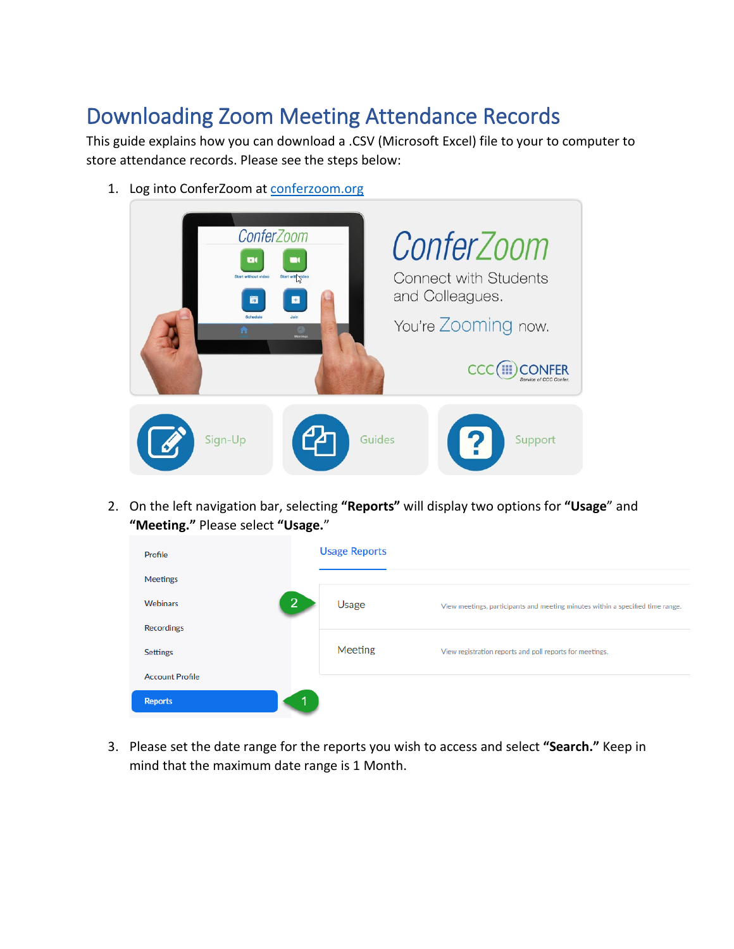## Downloading Zoom Meeting Attendance Records

This guide explains how you can download a .CSV (Microsoft Excel) file to your to computer to store attendance records. Please see the steps below:

1. Log into ConferZoom at [conferzoom.org](https://www.conferzoom.org/)



2. On the left navigation bar, selecting **"Reports"** will display two options for **"Usage**" and **"Meeting."** Please select **"Usage.**"

| Profile                    | <b>Usage Reports</b> |                                                                                |
|----------------------------|----------------------|--------------------------------------------------------------------------------|
| Meetings                   |                      |                                                                                |
| $\overline{2}$<br>Webinars | Usage                | View meetings, participants and meeting minutes within a specified time range. |
| <b>Recordings</b>          |                      |                                                                                |
| <b>Settings</b>            | Meeting              | View registration reports and poll reports for meetings.                       |
| <b>Account Profile</b>     |                      |                                                                                |
| <b>Reports</b>             |                      |                                                                                |

3. Please set the date range for the reports you wish to access and select **"Search."** Keep in mind that the maximum date range is 1 Month.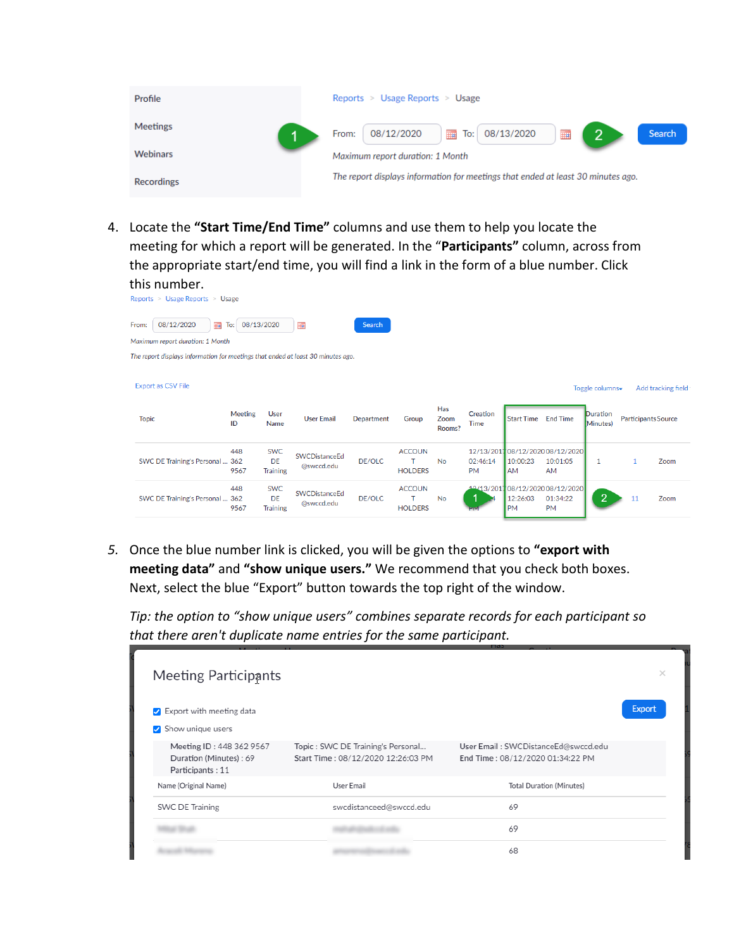| Profile         | Reports $>$ Usage Reports $>$ Usage                                              |               |
|-----------------|----------------------------------------------------------------------------------|---------------|
| <b>Meetings</b> | $\sqrt{2}$<br>▦<br>■<br>08/13/2020<br>08/12/2020<br>To:<br>From:                 | <b>Search</b> |
| <b>Webinars</b> | Maximum report duration: 1 Month                                                 |               |
| Recordings      | The report displays information for meetings that ended at least 30 minutes ago. |               |

4. Locate the **"Start Time/End Time"** columns and use them to help you locate the meeting for which a report will be generated. In the "**Participants"** column, across from the appropriate start/end time, you will find a link in the form of a blue number. Click this number.

| Keports > Usage Reports > Usage                                                  |                      |                       |                   |            |                     |                       |                                |                       |                                  |                      |    |                            |
|----------------------------------------------------------------------------------|----------------------|-----------------------|-------------------|------------|---------------------|-----------------------|--------------------------------|-----------------------|----------------------------------|----------------------|----|----------------------------|
| 08/12/2020<br>▦<br>From:                                                         | To:                  | 08/13/2020            | ▦                 | Search     |                     |                       |                                |                       |                                  |                      |    |                            |
| Maximum report duration: 1 Month                                                 |                      |                       |                   |            |                     |                       |                                |                       |                                  |                      |    |                            |
| The report displays information for meetings that ended at least 30 minutes ago. |                      |                       |                   |            |                     |                       |                                |                       |                                  |                      |    |                            |
|                                                                                  |                      |                       |                   |            |                     |                       |                                |                       |                                  |                      |    |                            |
| <b>Export as CSV File</b>                                                        |                      |                       |                   |            |                     |                       |                                |                       |                                  | Toggle columns-      |    | Add tracking field         |
|                                                                                  |                      |                       |                   |            |                     |                       |                                |                       |                                  |                      |    |                            |
| <b>Topic</b>                                                                     | <b>Meeting</b><br>ID | <b>User</b><br>Name   | <b>User Email</b> | Department | Group               | Has<br>Zoom<br>Rooms? | <b>Creation</b><br><b>Time</b> | <b>Start Time</b>     | <b>End Time</b>                  | Duration<br>Minutes) |    | <b>Participants Source</b> |
|                                                                                  | 448                  | <b>SWC</b>            | SWCDistanceEd     |            | <b>ACCOUN</b>       |                       |                                |                       | 12/13/201708/12/202008/12/2020   |                      |    |                            |
| SWC DE Training's Personal  362                                                  | 9567                 | DE<br><b>Training</b> | @swccd.edu        | DE/OLC     | т<br><b>HOLDERS</b> | <b>No</b>             | 02:46:14<br><b>PM</b>          | 10:00:23<br><b>AM</b> | 10:01:05<br>AM                   | 1                    |    | Zoom                       |
|                                                                                  | 448                  | <b>SWC</b>            | SWCDistanceEd     |            | <b>ACCOUN</b>       |                       |                                |                       | 19/13/2017 08/12/2020 08/12/2020 |                      |    |                            |
| SWC DE Training's Personal  362                                                  | 9567                 | DE<br><b>Training</b> | @swccd.edu        | DE/OLC     | <b>HOLDERS</b>      | No                    |                                | 12:26:03<br><b>PM</b> | 01:34:22<br><b>PM</b>            | 2                    | 11 | Zoom                       |
|                                                                                  |                      |                       |                   |            |                     |                       |                                |                       |                                  |                      |    |                            |

*5.* Once the blue number link is clicked, you will be given the options to **"export with meeting data"** and **"show unique users."** We recommend that you check both boxes. Next, select the blue "Export" button towards the top right of the window.

*Tip: the option to "show unique users" combines separate records for each participant so that there aren't duplicate name entries for the same participant.* 

| <b>Meeting Participants</b>                                            |                                                                         |                                                                         | ×             |
|------------------------------------------------------------------------|-------------------------------------------------------------------------|-------------------------------------------------------------------------|---------------|
| Export with meeting data<br>Show unique users                          |                                                                         |                                                                         | <b>Export</b> |
| Meeting ID: 448 362 9567<br>Duration (Minutes): 69<br>Participants: 11 | Topic: SWC DE Training's Personal<br>Start Time: 08/12/2020 12:26:03 PM | User Email: SWCDistanceEd@swccd.edu<br>End Time: 08/12/2020 01:34:22 PM |               |
| Name (Original Name)                                                   | User Email                                                              | <b>Total Duration (Minutes)</b>                                         |               |
| <b>SWC DE Training</b>                                                 | swcdistanceed@swccd.edu                                                 | 69                                                                      |               |
|                                                                        |                                                                         | 69                                                                      |               |
|                                                                        |                                                                         | 68                                                                      |               |